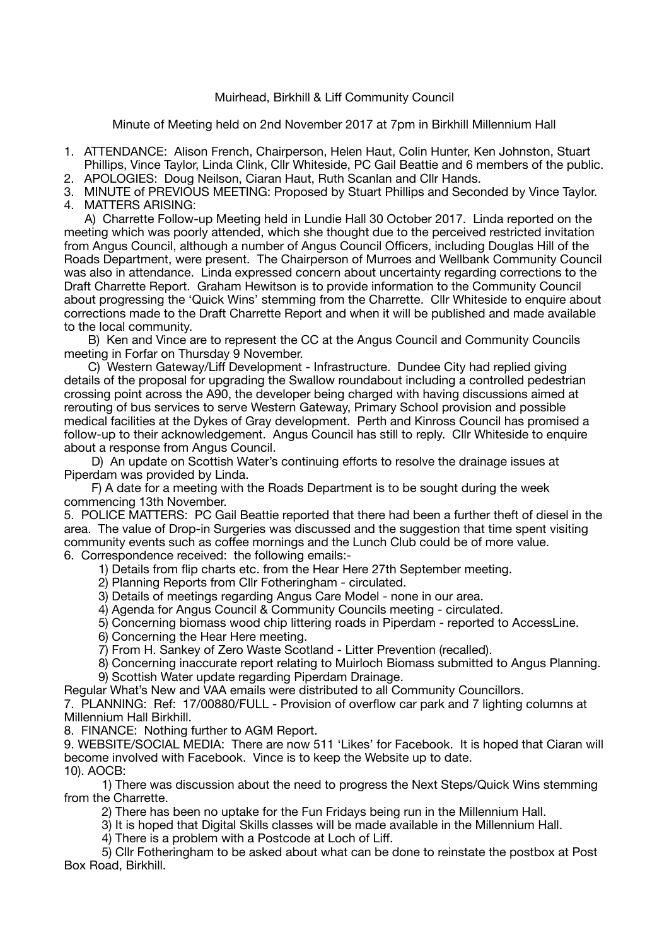Muirhead, Birkhill & Liff Community Council

Minute of Meeting held on 2nd November 2017 at 7pm in Birkhill Millennium Hall

- 1. ATTENDANCE: Alison French, Chairperson, Helen Haut, Colin Hunter, Ken Johnston, Stuart Phillips, Vince Taylor, Linda Clink, Cllr Whiteside, PC Gail Beattie and 6 members of the public.
- 2. APOLOGIES: Doug Neilson, Ciaran Haut, Ruth Scanlan and Cllr Hands.

3. MINUTE of PREVIOUS MEETING: Proposed by Stuart Phillips and Seconded by Vince Taylor. 4. MATTERS ARISING:

 A) Charrette Follow-up Meeting held in Lundie Hall 30 October 2017. Linda reported on the meeting which was poorly attended, which she thought due to the perceived restricted invitation from Angus Council, although a number of Angus Council Officers, including Douglas Hill of the Roads Department, were present. The Chairperson of Murroes and Wellbank Community Council was also in attendance. Linda expressed concern about uncertainty regarding corrections to the Draft Charrette Report. Graham Hewitson is to provide information to the Community Council about progressing the 'Quick Wins' stemming from the Charrette. Cllr Whiteside to enquire about corrections made to the Draft Charrette Report and when it will be published and made available to the local community.

 B) Ken and Vince are to represent the CC at the Angus Council and Community Councils meeting in Forfar on Thursday 9 November.

 C) Western Gateway/Liff Development - Infrastructure. Dundee City had replied giving details of the proposal for upgrading the Swallow roundabout including a controlled pedestrian crossing point across the A90, the developer being charged with having discussions aimed at rerouting of bus services to serve Western Gateway, Primary School provision and possible medical facilities at the Dykes of Gray development. Perth and Kinross Council has promised a follow-up to their acknowledgement. Angus Council has still to reply. Cllr Whiteside to enquire about a response from Angus Council.

 D) An update on Scottish Water's continuing efforts to resolve the drainage issues at Piperdam was provided by Linda.

 F) A date for a meeting with the Roads Department is to be sought during the week commencing 13th November.

5. POLICE MATTERS: PC Gail Beattie reported that there had been a further theft of diesel in the area. The value of Drop-in Surgeries was discussed and the suggestion that time spent visiting community events such as coffee mornings and the Lunch Club could be of more value. 6. Correspondence received: the following emails:-

- 1) Details from flip charts etc. from the Hear Here 27th September meeting.
- 2) Planning Reports from Cllr Fotheringham circulated.
- 3) Details of meetings regarding Angus Care Model none in our area.
- 4) Agenda for Angus Council & Community Councils meeting circulated.
- 5) Concerning biomass wood chip littering roads in Piperdam reported to AccessLine.
- 6) Concerning the Hear Here meeting.
- 7) From H. Sankey of Zero Waste Scotland Litter Prevention (recalled).
- 8) Concerning inaccurate report relating to Muirloch Biomass submitted to Angus Planning. 9) Scottish Water update regarding Piperdam Drainage.
- Regular What's New and VAA emails were distributed to all Community Councillors.

7. PLANNING: Ref: 17/00880/FULL - Provision of overflow car park and 7 lighting columns at Millennium Hall Birkhill.

8. FINANCE: Nothing further to AGM Report.

9. WEBSITE/SOCIAL MEDIA: There are now 511 'Likes' for Facebook. It is hoped that Ciaran will become involved with Facebook. Vince is to keep the Website up to date. 10). AOCB:

 1) There was discussion about the need to progress the Next Steps/Quick Wins stemming from the Charrette.

- 2) There has been no uptake for the Fun Fridays being run in the Millennium Hall.
- 3) It is hoped that Digital Skills classes will be made available in the Millennium Hall.
	- 4) There is a problem with a Postcode at Loch of Liff.

 5) Cllr Fotheringham to be asked about what can be done to reinstate the postbox at Post Box Road, Birkhill.